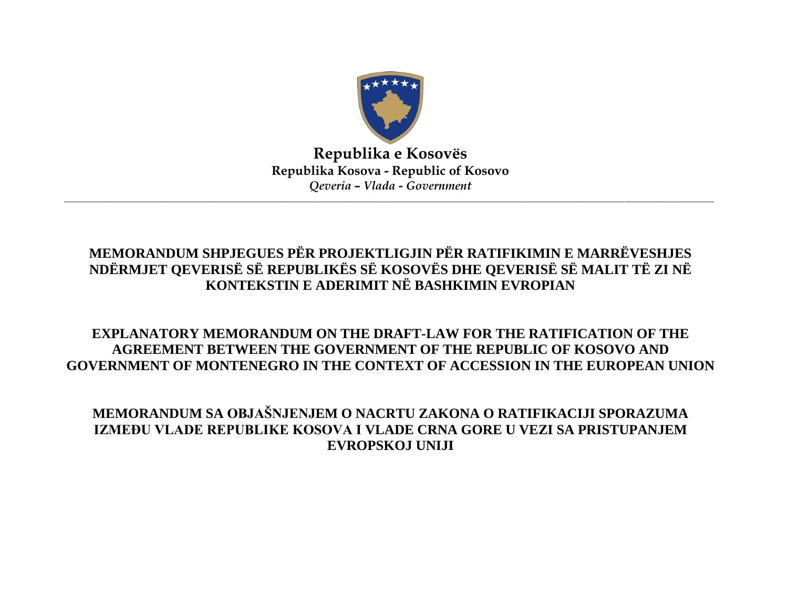

**Republika e Kosovës Republika Kosova - Republic of Kosovo** *Qeveria – Vlada - Government*

 $\Box \Box \Box \Box \Box \Box \Box \Box \Box$  . The set of the set of the set of the set of the set of the set of the set of the set of the set of the set of the set of the set of the set of the set of the set of the set of the set of the set of

## **MEMORANDUM SHPJEGUES PËR PROJEKTLIGJIN PËR RATIFIKIMIN E MARRËVESHJES NDËRMJET QEVERISË SË REPUBLIKËS SË KOSOVËS DHE QEVERISË SË MALIT TË ZI NË KONTEKSTIN E ADERIMIT NË BASHKIMIN EVROPIAN**

## **EXPLANATORY MEMORANDUM ON THE DRAFT-LAW FOR THE RATIFICATION OF THE AGREEMENT BETWEEN THE GOVERNMENT OF THE REPUBLIC OF KOSOVO AND GOVERNMENT OF MONTENEGRO IN THE CONTEXT OF ACCESSION IN THE EUROPEAN UNION**

**MEMORANDUM SA OBJAŠNJENJEM O NACRTU ZAKONA O RATIFIKACIJI SPORAZUMA IZMEĐU VLADE REPUBLIKE KOSOVA I VLADE CRNA GORE U VEZI SA PRISTUPANJEM EVROPSKOJ UNIJI**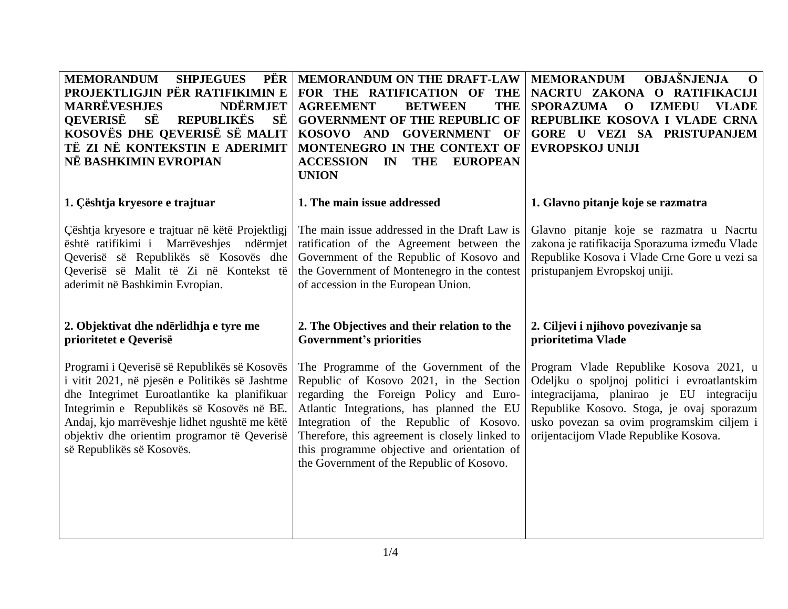| <b>MEMORANDUM</b><br><b>SHPJEGUES</b><br>PËR<br>PROJEKTLIGJIN PËR RATIFIKIMIN E<br><b>MARRËVESHJES</b><br><b>NDËRMJET</b><br><b>OEVERISË</b><br>SË<br><b>REPUBLIKËS</b><br>SË<br>KOSOVËS DHE QEVERISË SË MALIT<br>TË ZI NË KONTEKSTIN E ADERIMIT<br>NË BASHKIMIN EVROPIAN                                               | MEMORANDUM ON THE DRAFT-LAW<br>FOR THE RATIFICATION OF<br><b>THE</b><br><b>AGREEMENT</b><br><b>BETWEEN</b><br><b>THE</b><br><b>GOVERNMENT OF THE REPUBLIC OF</b><br>KOSOVO AND GOVERNMENT<br>OF<br>MONTENEGRO IN THE CONTEXT OF<br><b>ACCESSION</b><br><b>EUROPEAN</b><br>$\mathbf{IN}$<br><b>THE</b><br><b>UNION</b>                                            | <b>OBJAŠNJENJA</b><br><b>MEMORANDUM</b><br>$\mathbf 0$<br>NACRTU ZAKONA O RATIFIKACIJI<br><b>SPORAZUMA</b><br><b>IZMEĐU</b><br><b>VLADE</b><br>$\mathbf 0$<br>REPUBLIKE KOSOVA I VLADE CRNA<br><b>GORE U VEZI SA PRISTUPANJEM</b><br>EVROPSKOJ UNIJI                   |
|-------------------------------------------------------------------------------------------------------------------------------------------------------------------------------------------------------------------------------------------------------------------------------------------------------------------------|------------------------------------------------------------------------------------------------------------------------------------------------------------------------------------------------------------------------------------------------------------------------------------------------------------------------------------------------------------------|------------------------------------------------------------------------------------------------------------------------------------------------------------------------------------------------------------------------------------------------------------------------|
| 1. Çështja kryesore e trajtuar                                                                                                                                                                                                                                                                                          | 1. The main issue addressed                                                                                                                                                                                                                                                                                                                                      | 1. Glavno pitanje koje se razmatra                                                                                                                                                                                                                                     |
| Çështja kryesore e trajtuar në këtë Projektligj<br>është ratifikimi i Marrëveshjes ndërmjet<br>Qeverisë së Republikës së Kosovës dhe<br>Qeverisë së Malit të Zi në Kontekst të<br>aderimit në Bashkimin Evropian.                                                                                                       | The main issue addressed in the Draft Law is<br>ratification of the Agreement between the<br>Government of the Republic of Kosovo and<br>the Government of Montenegro in the contest<br>of accession in the European Union.                                                                                                                                      | Glavno pitanje koje se razmatra u Nacrtu<br>zakona je ratifikacija Sporazuma između Vlade<br>Republike Kosova i Vlade Crne Gore u vezi sa<br>pristupanjem Evropskoj uniji.                                                                                             |
| 2. Objektivat dhe ndërlidhja e tyre me<br>prioritetet e Qeverisë                                                                                                                                                                                                                                                        | 2. The Objectives and their relation to the<br><b>Government's priorities</b>                                                                                                                                                                                                                                                                                    | 2. Ciljevi i njihovo povezivanje sa<br>prioritetima Vlade                                                                                                                                                                                                              |
| Programi i Qeverisë së Republikës së Kosovës<br>i vitit 2021, në pjesën e Politikës së Jashtme<br>dhe Integrimet Euroatlantike ka planifikuar<br>Integrimin e Republikës së Kosovës në BE.<br>Andaj, kjo marrëveshje lidhet ngushtë me këtë<br>objektiv dhe orientim programor të Qeverisë<br>së Republikës së Kosovës. | The Programme of the Government of the<br>Republic of Kosovo 2021, in the Section<br>regarding the Foreign Policy and Euro-<br>Atlantic Integrations, has planned the EU<br>Integration of the Republic of Kosovo.<br>Therefore, this agreement is closely linked to<br>this programme objective and orientation of<br>the Government of the Republic of Kosovo. | Program Vlade Republike Kosova 2021, u<br>Odeljku o spoljnoj politici i evroatlantskim<br>integracijama, planirao je EU integraciju<br>Republike Kosovo. Stoga, je ovaj sporazum<br>usko povezan sa ovim programskim ciljem i<br>orijentacijom Vlade Republike Kosova. |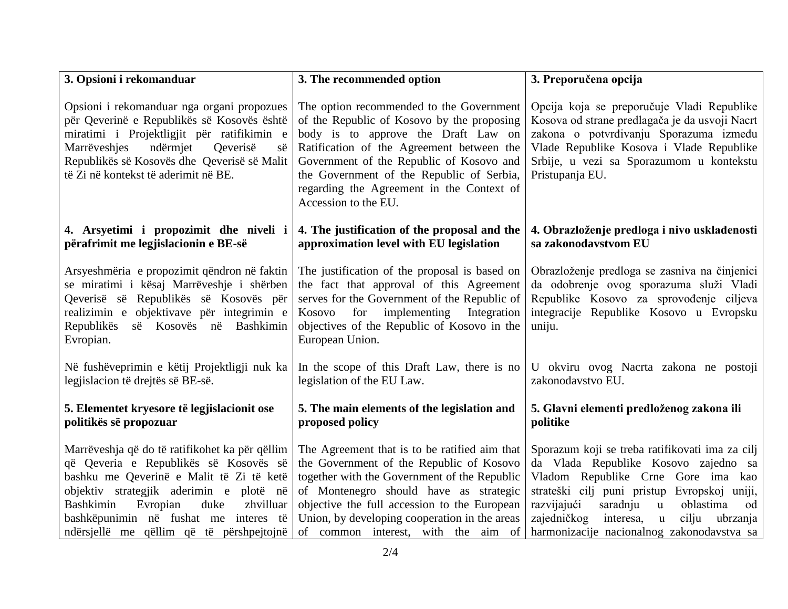| 3. Opsioni i rekomanduar                                                                                                                                                                                                                                                                                          | 3. The recommended option                                                                                                                                                                                                                                                                                                                | 3. Preporučena opcija                                                                                                                                                                                                                                                                                                                        |
|-------------------------------------------------------------------------------------------------------------------------------------------------------------------------------------------------------------------------------------------------------------------------------------------------------------------|------------------------------------------------------------------------------------------------------------------------------------------------------------------------------------------------------------------------------------------------------------------------------------------------------------------------------------------|----------------------------------------------------------------------------------------------------------------------------------------------------------------------------------------------------------------------------------------------------------------------------------------------------------------------------------------------|
| Opsioni i rekomanduar nga organi propozues<br>për Qeverinë e Republikës së Kosovës është<br>miratimi i Projektligjit për ratifikimin e<br>Marrëveshjes<br>ndërmjet<br>Qeverisë<br>së<br>Republikës së Kosovës dhe Qeverisë së Malit<br>të Zi në kontekst të aderimit në BE.                                       | The option recommended to the Government<br>of the Republic of Kosovo by the proposing<br>body is to approve the Draft Law on<br>Ratification of the Agreement between the<br>Government of the Republic of Kosovo and<br>the Government of the Republic of Serbia,<br>regarding the Agreement in the Context of<br>Accession to the EU. | Opcija koja se preporučuje Vladi Republike<br>Kosova od strane predlagača je da usvoji Nacrt<br>zakona o potvrđivanju Sporazuma između<br>Vlade Republike Kosova i Vlade Republike<br>Srbije, u vezi sa Sporazumom u kontekstu<br>Pristupanja EU.                                                                                            |
| 4. Arsyetimi i propozimit dhe niveli i<br>përafrimit me legjislacionin e BE-së                                                                                                                                                                                                                                    | 4. The justification of the proposal and the<br>approximation level with EU legislation                                                                                                                                                                                                                                                  | 4. Obrazloženje predloga i nivo usklađenosti<br>sa zakonodavstvom EU                                                                                                                                                                                                                                                                         |
| Arsyeshmëria e propozimit qëndron në faktin<br>se miratimi i kësaj Marrëveshje i shërben<br>Qeverisë së Republikës së Kosovës për<br>realizimin e objektivave për integrimin e<br>së Kosovës në<br>Bashkimin<br>Republikës<br>Evropian.                                                                           | The justification of the proposal is based on<br>the fact that approval of this Agreement<br>serves for the Government of the Republic of<br>for<br>implementing<br>Integration<br>Kosovo<br>objectives of the Republic of Kosovo in the<br>European Union.                                                                              | Obrazloženje predloga se zasniva na činjenici<br>da odobrenje ovog sporazuma služi Vladi<br>Republike Kosovo za sprovođenje ciljeva<br>integracije Republike Kosovo u Evropsku<br>uniju.                                                                                                                                                     |
| Në fushëveprimin e këtij Projektligji nuk ka<br>legjislacion të drejtës së BE-së.                                                                                                                                                                                                                                 | In the scope of this Draft Law, there is no<br>legislation of the EU Law.                                                                                                                                                                                                                                                                | U okviru ovog Nacrta zakona ne postoji<br>zakonodavstvo EU.                                                                                                                                                                                                                                                                                  |
| 5. Elementet kryesore të legjislacionit ose<br>politikës së propozuar                                                                                                                                                                                                                                             | 5. The main elements of the legislation and<br>proposed policy                                                                                                                                                                                                                                                                           | 5. Glavni elementi predloženog zakona ili<br>politike                                                                                                                                                                                                                                                                                        |
| Marrëveshja që do të ratifikohet ka për qëllim<br>që Qeveria e Republikës së Kosovës së<br>bashku me Qeverinë e Malit të Zi të ketë<br>objektiv strategjik aderimin e plotë në<br>Evropian<br>duke<br>Bashkimin<br>zhvilluar<br>bashkëpunimin në fushat me interes të<br>ndërsjellë me qëllim që të përshpejtojnë | The Agreement that is to be ratified aim that<br>the Government of the Republic of Kosovo<br>together with the Government of the Republic<br>of Montenegro should have as strategic<br>objective the full accession to the European<br>Union, by developing cooperation in the areas<br>of common interest, with the aim of              | Sporazum koji se treba ratifikovati ima za cilj<br>da Vlada Republike Kosovo zajedno sa<br>Vladom Republike Crne Gore ima kao<br>strateški cilj puni pristup Evropskoj uniji,<br>razvijajući<br>saradnju<br>oblastima<br>$\mathbf{u}$<br>od<br>zajedničkog<br>interesa, u<br>cilju<br>ubrzanja<br>harmonizacije nacionalnog zakonodavstva sa |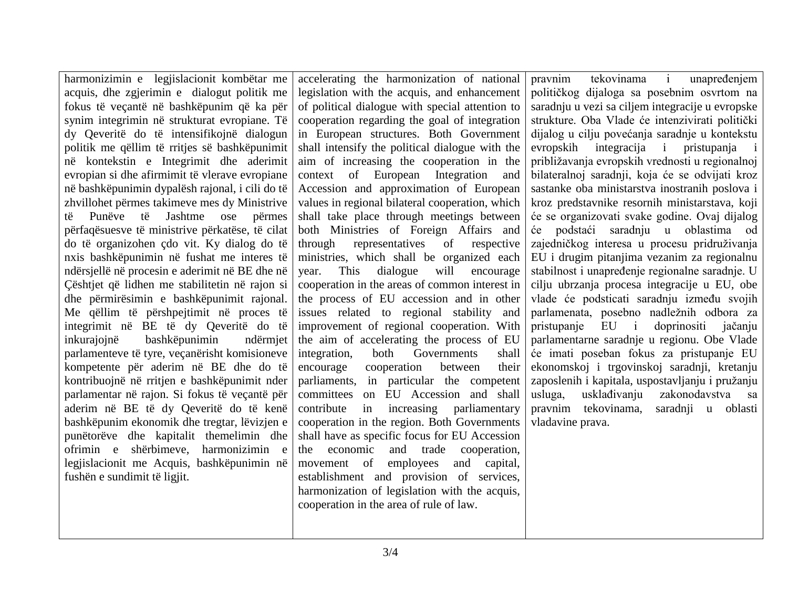harmonizimin e legjislacionit kombëtar me acquis, dhe zgjerimin e dialogut politik me fokus të veçantë në bashkëpunim që ka për synim integrimin në strukturat evropiane. Të dy Qeveritë do të intensifikojnë dialogun politik me qëllim të rritjes së bashkëpunimit në kontekstin e Integrimit dhe aderimit evropian si dhe afirmimit të vlerave evropiane në bashkëpunimin dypalësh rajonal, i cili do të zhvillohet përmes takimeve mes dy Ministrive të Punëve të Jashtme ose përmes përfaqësuesve të ministrive përkatëse, të cilat do të organizohen çdo vit. Ky dialog do të nxis bashkëpunimin në fushat me interes të ndërsjellë në procesin e aderimit në BE dhe në Çështjet që lidhen me stabilitetin në rajon si dhe përmirësimin e bashkëpunimit rajonal. Me qëllim të përshpejtimit në proces të integrimit në BE të dy Qeveritë do të inkurajojnë bashkëpunimin ndërmjet parlamenteve të tyre, veçanërisht komisioneve kompetente për aderim në BE dhe do të kontribuojnë në rritjen e bashkëpunimit nder parlamentar në rajon. Si fokus të veçantë për aderim në BE të dy Qeveritë do të kenë bashkëpunim ekonomik dhe tregtar, lëvizjen e punëtorëve dhe kapitalit themelimin dhe ofrimin e shërbimeve, harmonizimin e legjislacionit me Acquis, bashkëpunimin në fushën e sundimit të ligjit. accelerating the harmonization of national legislation with the acquis, and enhancement of political dialogue with special attention to cooperation regarding the goal of integration in European structures. Both Government shall intensify the political dialogue with the aim of increasing the cooperation in the context of European Integration and Accession and approximation of European values in regional bilateral cooperation, which shall take place through meetings between both Ministries of Foreign Affairs and through representatives of respective ministries, which shall be organized each year. This dialogue will encourage cooperation in the areas of common interest in the process of EU accession and in other issues related to regional stability and improvement of regional cooperation. With the aim of accelerating the process of EU integration, both Governments shall encourage cooperation between their parliaments, in particular the competent committees on EU Accession and shall contribute in increasing parliamentary cooperation in the region. Both Governments shall have as specific focus for EU Accession the economic and trade cooperation, movement of employees and capital, establishment and provision of services, harmonization of legislation with the acquis, pravnim tekovinama i unapređenjem političkog dijaloga sa posebnim osvrtom na saradnju u vezi sa ciljem integracije u evropske strukture. Oba Vlade će intenzivirati politički dijalog u cilju povećanja saradnje u kontekstu evropskih integracija i pristupanja i približavanja evropskih vrednosti u regionalnoj bilateralnoj saradnji, koja će se odvijati kroz sastanke oba ministarstva inostranih poslova i kroz predstavnike resornih ministarstava, koji će se organizovati svake godine. Ovaj dijalog će podstaći saradnju u oblastima od zajedničkog interesa u procesu pridruživanja EU i drugim pitanjima vezanim za regionalnu stabilnost i unapređenje regionalne saradnje. U cilju ubrzanja procesa integracije u EU, obe vlade će podsticati saradnju između svojih parlamenata, posebno nadležnih odbora za pristupanje EU i doprinositi jačanju parlamentarne saradnje u regionu. Obe Vlade će imati poseban fokus za pristupanje EU ekonomskoj i trgovinskoj saradnji, kretanju zaposlenih i kapitala, uspostavljanju i pružanju usluga, usklađivanju zakonodavstva sa pravnim tekovinama, saradnji u oblasti vladavine prava.

cooperation in the area of rule of law.